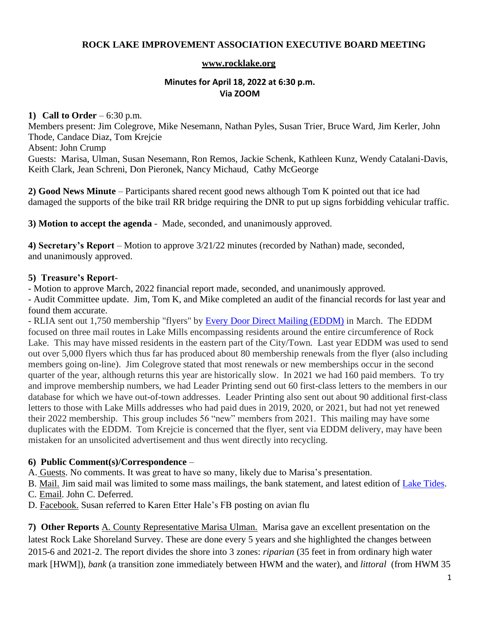## **ROCK LAKE IMPROVEMENT ASSOCIATION EXECUTIVE BOARD MEETING**

#### **[www.rocklake.org](http://www.rocklake.org/)**

#### **Minutes for April 18, 2022 at 6:30 p.m. Via ZOOM**

#### **1) Call to Order** – 6:30 p.m.

Members present: Jim Colegrove, Mike Nesemann, Nathan Pyles, Susan Trier, Bruce Ward, Jim Kerler, John Thode, Candace Diaz, Tom Krejcie Absent: John Crump Guests: Marisa, Ulman, Susan Nesemann, Ron Remos, Jackie Schenk, Kathleen Kunz, Wendy Catalani-Davis, Keith Clark, Jean Schreni, Don Pieronek, Nancy Michaud, Cathy McGeorge

**2) Good News Minute** – Participants shared recent good news although Tom K pointed out that ice had damaged the supports of the bike trail RR bridge requiring the DNR to put up signs forbidding vehicular traffic.

**3) Motion to accept the agenda** - Made, seconded, and unanimously approved.

**4) Secretary's Report** – Motion to approve 3/21/22 minutes (recorded by Nathan) made, seconded, and unanimously approved.

## **5) Treasure's Report**-

- Motion to approve March, 2022 financial report made, seconded, and unanimously approved.

- Audit Committee update. Jim, Tom K, and Mike completed an audit of the financial records for last year and found them accurate.

- RLIA sent out 1,750 membership "flyers" by [Every Door Direct Mailing \(EDDM\)](https://www.usps.com/business/every-door-direct-mail.htm) in March. The EDDM focused on three mail routes in Lake Mills encompassing residents around the entire circumference of Rock Lake. This may have missed residents in the eastern part of the City/Town. Last year EDDM was used to send out over 5,000 flyers which thus far has produced about 80 membership renewals from the flyer (also including members going on-line). Jim Colegrove stated that most renewals or new memberships occur in the second quarter of the year, although returns this year are historically slow. In 2021 we had 160 paid members. To try and improve membership numbers, we had Leader Printing send out 60 first-class letters to the members in our database for which we have out-of-town addresses. Leader Printing also sent out about 90 additional first-class letters to those with Lake Mills addresses who had paid dues in 2019, 2020, or 2021, but had not yet renewed their 2022 membership. This group includes 56 "new" members from 2021. This mailing may have some duplicates with the EDDM. Tom Krejcie is concerned that the flyer, sent via EDDM delivery, may have been mistaken for an unsolicited advertisement and thus went directly into recycling.

## **6) Public Comment(s)/Correspondence** –

A. Guests. No comments. It was great to have so many, likely due to Marisa's presentation.

B. Mail. Jim said mail was limited to some mass mailings, the bank statement, and latest edition of [Lake Tides.](https://www3.uwsp.edu/cnr-ap/UWEXLakes/Documents/resources/newsletter/vol46-vol50/vol47-1winter2022web.pdf) C. Email. John C. Deferred.

D. Facebook. Susan referred to Karen Etter Hale's FB posting on avian flu

**7) Other Reports** A. County Representative Marisa Ulman. Marisa gave an excellent presentation on the latest Rock Lake Shoreland Survey. These are done every 5 years and she highlighted the changes between 2015-6 and 2021-2. The report divides the shore into 3 zones: *riparian* (35 feet in from ordinary high water mark [HWM]), *bank* (a transition zone immediately between HWM and the water), and *littoral* (from HWM 35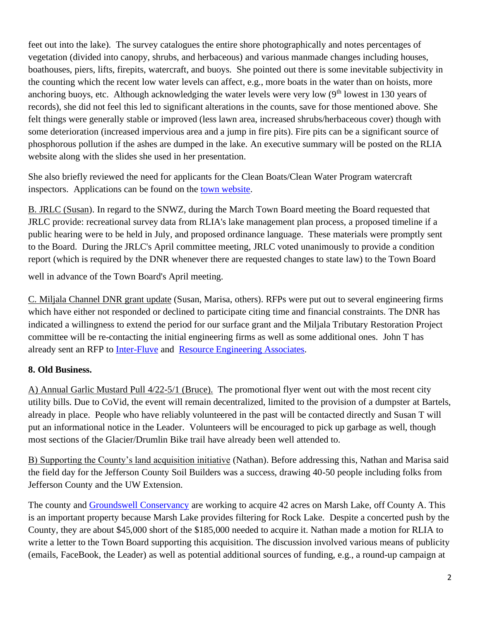feet out into the lake). The survey catalogues the entire shore photographically and notes percentages of vegetation (divided into canopy, shrubs, and herbaceous) and various manmade changes including houses, boathouses, piers, lifts, firepits, watercraft, and buoys. She pointed out there is some inevitable subjectivity in the counting which the recent low water levels can affect, e.g., more boats in the water than on hoists, more anchoring buoys, etc. Although acknowledging the water levels were very low  $(9<sup>th</sup>$  lowest in 130 years of records), she did not feel this led to significant alterations in the counts, save for those mentioned above. She felt things were generally stable or improved (less lawn area, increased shrubs/herbaceous cover) though with some deterioration (increased impervious area and a jump in fire pits). Fire pits can be a significant source of phosphorous pollution if the ashes are dumped in the lake. An executive summary will be posted on the RLIA website along with the slides she used in her presentation.

She also briefly reviewed the need for applicants for the Clean Boats/Clean Water Program watercraft inspectors. Applications can be found on the [town website.](https://townoflakemills.org/clean-boats-clean-waters-program/)

B. JRLC (Susan). In regard to the SNWZ, during the March Town Board meeting the Board requested that JRLC provide: recreational survey data from RLIA's lake management plan process, a proposed timeline if a public hearing were to be held in July, and proposed ordinance language. These materials were promptly sent to the Board. During the JRLC's April committee meeting, JRLC voted unanimously to provide a condition report (which is required by the DNR whenever there are requested changes to state law) to the Town Board

well in advance of the Town Board's April meeting.

C. Miljala Channel DNR grant update (Susan, Marisa, others). RFPs were put out to several engineering firms which have either not responded or declined to participate citing time and financial constraints. The DNR has indicated a willingness to extend the period for our surface grant and the Miljala Tributary Restoration Project committee will be re-contacting the initial engineering firms as well as some additional ones. John T has already sent an RFP to [Inter-Fluve](https://interfluve.com/) and [Resource Engineering Associates.](https://www.facebook.com/Resource-Engineering-Associates-Inc-690676944407713/)

# **8. Old Business.**

A) Annual Garlic Mustard Pull 4/22-5/1 (Bruce). The promotional flyer went out with the most recent city utility bills. Due to CoVid, the event will remain decentralized, limited to the provision of a dumpster at Bartels, already in place. People who have reliably volunteered in the past will be contacted directly and Susan T will put an informational notice in the Leader. Volunteers will be encouraged to pick up garbage as well, though most sections of the Glacier/Drumlin Bike trail have already been well attended to.

B) Supporting the County's land acquisition initiative (Nathan). Before addressing this, Nathan and Marisa said the field day for the Jefferson County Soil Builders was a success, drawing 40-50 people including folks from Jefferson County and the UW Extension.

The county and [Groundswell Conservancy](https://groundswellconservancy.org/) are working to acquire 42 acres on Marsh Lake, off County A. This is an important property because Marsh Lake provides filtering for Rock Lake. Despite a concerted push by the County, they are about \$45,000 short of the \$185,000 needed to acquire it. Nathan made a motion for RLIA to write a letter to the Town Board supporting this acquisition. The discussion involved various means of publicity (emails, FaceBook, the Leader) as well as potential additional sources of funding, e.g., a round-up campaign at